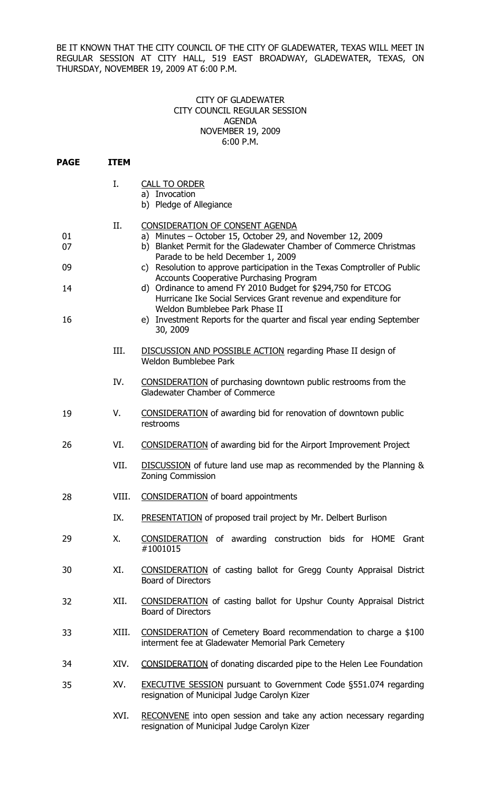BE IT KNOWN THAT THE CITY COUNCIL OF THE CITY OF GLADEWATER, TEXAS WILL MEET IN REGULAR SESSION AT CITY HALL, 519 EAST BROADWAY, GLADEWATER, TEXAS, ON THURSDAY, NOVEMBER 19, 2009 AT 6:00 P.M.

## CITY OF GLADEWATER CITY COUNCIL REGULAR SESSION AGENDA NOVEMBER 19, 2009 6:00 P.M.

| <b>PAGE</b> | <b>ITEM</b> |                                                                                                                                                                                                           |
|-------------|-------------|-----------------------------------------------------------------------------------------------------------------------------------------------------------------------------------------------------------|
|             | Ι.          | <b>CALL TO ORDER</b><br>a) Invocation<br>b) Pledge of Allegiance                                                                                                                                          |
| 01<br>07    | II.         | CONSIDERATION OF CONSENT AGENDA<br>a) Minutes - October 15, October 29, and November 12, 2009<br>b) Blanket Permit for the Gladewater Chamber of Commerce Christmas<br>Parade to be held December 1, 2009 |
| 09          |             | c) Resolution to approve participation in the Texas Comptroller of Public<br>Accounts Cooperative Purchasing Program                                                                                      |
| 14          |             | d) Ordinance to amend FY 2010 Budget for \$294,750 for ETCOG<br>Hurricane Ike Social Services Grant revenue and expenditure for<br>Weldon Bumblebee Park Phase II                                         |
| 16          |             | e) Investment Reports for the quarter and fiscal year ending September<br>30, 2009                                                                                                                        |
|             | III.        | DISCUSSION AND POSSIBLE ACTION regarding Phase II design of<br>Weldon Bumblebee Park                                                                                                                      |
|             | IV.         | <b>CONSIDERATION</b> of purchasing downtown public restrooms from the<br>Gladewater Chamber of Commerce                                                                                                   |
| 19          | V.          | <b>CONSIDERATION</b> of awarding bid for renovation of downtown public<br>restrooms                                                                                                                       |
| 26          | VI.         | <b>CONSIDERATION</b> of awarding bid for the Airport Improvement Project                                                                                                                                  |
|             | VII.        | DISCUSSION of future land use map as recommended by the Planning &<br><b>Zoning Commission</b>                                                                                                            |
| 28          | VIII.       | <b>CONSIDERATION</b> of board appointments                                                                                                                                                                |
|             | IX.         | PRESENTATION of proposed trail project by Mr. Delbert Burlison                                                                                                                                            |
| 29          | Χ.          | CONSIDERATION of awarding construction bids for HOME Grant<br>#1001015                                                                                                                                    |
| 30          | XI.         | CONSIDERATION of casting ballot for Gregg County Appraisal District<br><b>Board of Directors</b>                                                                                                          |
| 32          | XII.        | CONSIDERATION of casting ballot for Upshur County Appraisal District<br><b>Board of Directors</b>                                                                                                         |
| 33          | XIII.       | CONSIDERATION of Cemetery Board recommendation to charge a \$100<br>interment fee at Gladewater Memorial Park Cemetery                                                                                    |
| 34          | XIV.        | <b>CONSIDERATION</b> of donating discarded pipe to the Helen Lee Foundation                                                                                                                               |
| 35          | XV.         | <b>EXECUTIVE SESSION</b> pursuant to Government Code §551.074 regarding<br>resignation of Municipal Judge Carolyn Kizer                                                                                   |
|             | M/T         | DECONNIENE into open session and take any action pessessary regarding                                                                                                                                     |

XVI. RECONVENE into open session and take any action necessary regarding resignation of Municipal Judge Carolyn Kizer